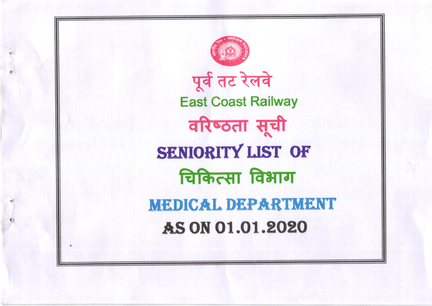